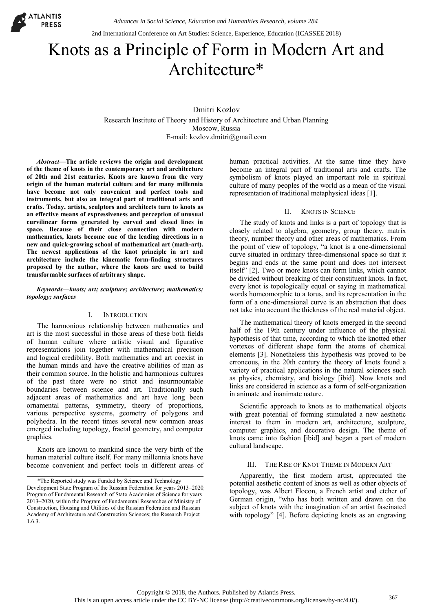2nd International Conference on Art Studies: Science, Experience, Education (ICASSEE 2018)

# Knots as a Principle of Form in Modern Art and Architecture\*

Dmitri Kozlov Research Institute of Theory and History of Architecture and Urban Planning Moscow, Russia E-mail: kozlov.dmitri@gmail.com

*Abstract***—The article reviews the origin and development of the theme of knots in the contemporary art and architecture of 20th and 21st centuries. Knots are known from the very origin of the human material culture and for many millennia have become not only convenient and perfect tools and instruments, but also an integral part of traditional arts and crafts. Today, artists, sculptors and architects turn to knots as an effective means of expressiveness and perception of unusual curvilinear forms generated by curved and closed lines in space. Because of their close connection with modern mathematics, knots become one of the leading directions in a new and quick-growing school of mathematical art (math-art). The newest applications of the knot principle in art and architecture include the kinematic form-finding structures proposed by the author, where the knots are used to build transformable surfaces of arbitrary shape.** 

## *Keywords—knots; art; sculpture; architecture; mathematics; topology; surfaces*

# I. INTRODUCTION

The harmonious relationship between mathematics and art is the most successful in those areas of these both fields of human culture where artistic visual and figurative representations join together with mathematical precision and logical credibility. Both mathematics and art coexist in the human minds and have the creative abilities of man as their common source. In the holistic and harmonious cultures of the past there were no strict and insurmountable boundaries between science and art. Traditionally such adjacent areas of mathematics and art have long been ornamental patterns, symmetry, theory of proportions, various perspective systems, geometry of polygons and polyhedra. In the recent times several new common areas emerged including topology, fractal geometry, and computer graphics.

Knots are known to mankind since the very birth of the human material culture itself. For many millennia knots have become convenient and perfect tools in different areas of human practical activities. At the same time they have become an integral part of traditional arts and crafts. The symbolism of knots played an important role in spiritual culture of many peoples of the world as a mean of the visual representation of traditional metaphysical ideas [1].

## II. KNOTS IN SCIENCE

The study of knots and links is a part of topology that is closely related to algebra, geometry, group theory, matrix theory, number theory and other areas of mathematics. From the point of view of topology, "a knot is a one-dimensional curve situated in ordinary three-dimensional space so that it begins and ends at the same point and does not intersect itself" [2]. Two or more knots can form links, which cannot be divided without breaking of their constituent knots. In fact, every knot is topologically equal or saying in mathematical words homeomorphic to a torus, and its representation in the form of a one-dimensional curve is an abstraction that does not take into account the thickness of the real material object.

The mathematical theory of knots emerged in the second half of the 19th century under influence of the physical hypothesis of that time, according to which the knotted ether vortexes of different shape form the atoms of chemical elements [3]. Nonetheless this hypothesis was proved to be erroneous, in the 20th century the theory of knots found a variety of practical applications in the natural sciences such as physics, chemistry, and biology [ibid]. Now knots and links are considered in science as a form of self-organization in animate and inanimate nature.

Scientific approach to knots as to mathematical objects with great potential of forming stimulated a new aesthetic interest to them in modern art, architecture, sculpture, computer graphics, and decorative design. The theme of knots came into fashion [ibid] and began a part of modern cultural landscape.

# III. THE RISE OF KNOT THEME IN MODERN ART

Apparently, the first modern artist, appreciated the potential aesthetic content of knots as well as other objects of topology, was Albert Flocon, a French artist and etcher of German origin, "who has both written and drawn on the subject of knots with the imagination of an artist fascinated with topology" [4]. Before depicting knots as an engraving

<sup>\*</sup>The Reported study was Funded by Science and Technology Development State Program of the Russian Federation for years 2013–2020, Program of Fundamental Research of State Academies of Science for years 2013–2020, within the Program of Fundamental Researches of Ministry of Construction, Housing and Utilities of the Russian Federation and Russian Academy of Architecture and Construction Sciences; the Research Project 1.6.3.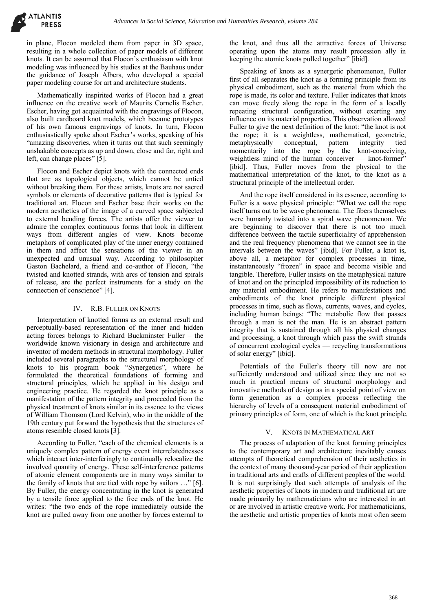in plane, Flocon modeled them from paper in 3D space, resulting in a whole collection of paper models of different knots. It can be assumed that Flocon's enthusiasm with knot modeling was influenced by his studies at the Bauhaus under the guidance of Joseph Albers, who developed a special paper modeling course for art and architecture students.

Mathematically inspirited works of Flocon had a great influence on the creative work of Maurits Cornelis Escher. Escher, having got acquainted with the engravings of Flocon, also built cardboard knot models, which became prototypes of his own famous engravings of knots. In turn, Flocon enthusiastically spoke about Escher's works, speaking of his "amazing discoveries, when it turns out that such seemingly unshakable concepts as up and down, close and far, right and left, can change places" [5].

Flocon and Escher depict knots with the connected ends that are as topological objects, which cannot be untied without breaking them. For these artists, knots are not sacred symbols or elements of decorative patterns that is typical for traditional art. Flocon and Escher base their works on the modern aesthetics of the image of a curved space subjected to external bending forces. The artists offer the viewer to admire the complex continuous forms that look in different ways from different angles of view. Knots become metaphors of complicated play of the inner energy contained in them and affect the sensations of the viewer in an unexpected and unusual way. According to philosopher Gaston Bachelard, a friend and co-author of Flocon, "the twisted and knotted strands, with arcs of tension and spirals of release, are the perfect instruments for a study on the connection of conscience" [4].

### IV. R.B. FULLER ON KNOTS

Interpretation of knotted forms as an external result and perceptually-based representation of the inner and hidden acting forces belongs to Richard Buckminster Fuller – the worldwide known visionary in design and architecture and inventor of modern methods in structural morphology. Fuller included several paragraphs to the structural morphology of knots to his program book "Synergetics", where he formulated the theoretical foundations of forming and structural principles, which he applied in his design and engineering practice. He regarded the knot principle as a manifestation of the pattern integrity and proceeded from the physical treatment of knots similar in its essence to the views of William Thomson (Lord Kelvin), who in the middle of the 19th century put forward the hypothesis that the structures of atoms resemble closed knots [3].

According to Fuller, "each of the chemical elements is a uniquely complex pattern of energy event interrelatednesses which interact inter-interferingly to continually relocalize the involved quantity of energy. These self-interference patterns of atomic element components are in many ways similar to the family of knots that are tied with rope by sailors …" [6]. By Fuller, the energy concentrating in the knot is generated by a tensile force applied to the free ends of the knot. He writes: "the two ends of the rope immediately outside the knot are pulled away from one another by forces external to

the knot, and thus all the attractive forces of Universe operating upon the atoms may result precession ally in keeping the atomic knots pulled together" [ibid].

Speaking of knots as a synergetic phenomenon, Fuller first of all separates the knot as a forming principle from its physical embodiment, such as the material from which the rope is made, its color and texture. Fuller indicates that knots can move freely along the rope in the form of a locally repeating structural configuration, without exerting any influence on its material properties. This observation allowed Fuller to give the next definition of the knot: "the knot is not the rope; it is a weightless, mathematical, geometric, metaphysically conceptual, pattern integrity tied metaphysically momentarily into the rope by the knot-conceiving, weightless mind of the human conceiver — knot-former" [ibid]. Thus, Fuller moves from the physical to the mathematical interpretation of the knot, to the knot as a structural principle of the intellectual order.

And the rope itself considered in its essence, according to Fuller is a wave physical principle: "What we call the rope itself turns out to be wave phenomena. The fibers themselves were humanly twisted into a spiral wave phenomenon. We are beginning to discover that there is not too much difference between the tactile superficiality of apprehension and the real frequency phenomena that we cannot see in the intervals between the waves" [ibid]. For Fuller, a knot is, above all, a metaphor for complex processes in time, instantaneously "frozen" in space and become visible and tangible. Therefore, Fuller insists on the metaphysical nature of knot and on the principled impossibility of its reduction to any material embodiment. He refers to manifestations and embodiments of the knot principle different physical processes in time, such as flows, currents, waves, and cycles, including human beings: "The metabolic flow that passes through a man is not the man. He is an abstract pattern integrity that is sustained through all his physical changes and processing, a knot through which pass the swift strands of concurrent ecological cycles — recycling transformations of solar energy" [ibid].

Potentials of the Fuller's theory till now are not sufficiently understood and utilized since they are not so much in practical means of structural morphology and innovative methods of design as in a special point of view on form generation as a complex process reflecting the hierarchy of levels of a consequent material embodiment of primary principles of form, one of which is the knot principle.

#### V. KNOTS IN MATHEMATICAL ART

The process of adaptation of the knot forming principles to the contemporary art and architecture inevitably causes attempts of theoretical comprehension of their aesthetics in the context of many thousand-year period of their application in traditional arts and crafts of different peoples of the world. It is not surprisingly that such attempts of analysis of the aesthetic properties of knots in modern and traditional art are made primarily by mathematicians who are interested in art or are involved in artistic creative work. For mathematicians, the aesthetic and artistic properties of knots most often seem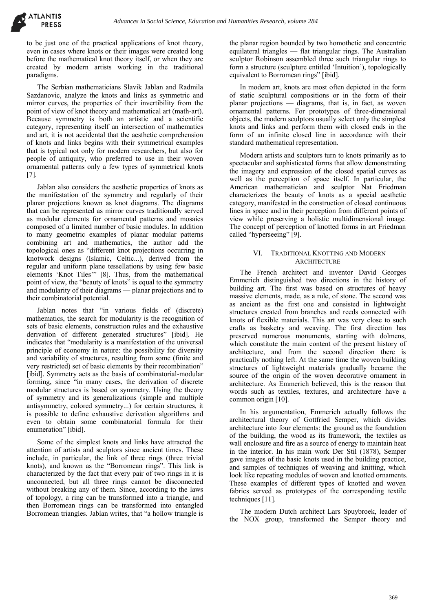

to be just one of the practical applications of knot theory, even in cases where knots or their images were created long before the mathematical knot theory itself, or when they are created by modern artists working in the traditional paradigms.

The Serbian mathematicians Slavik Jablan and Radmila Sazdanovic, analyze the knots and links as symmetric and mirror curves, the properties of their invertibility from the point of view of knot theory and mathematical art (math-art). Because symmetry is both an artistic and a scientific category, representing itself an intersection of mathematics and art, it is not accidental that the aesthetic comprehension of knots and links begins with their symmetrical examples that is typical not only for modern researchers, but also for people of antiquity, who preferred to use in their woven ornamental patterns only a few types of symmetrical knots [7].

Jablan also considers the aesthetic properties of knots as the manifestation of the symmetry and regularly of their planar projections known as knot diagrams. The diagrams that can be represented as mirror curves traditionally served as modular elements for ornamental patterns and mosaics composed of a limited number of basic modules. In addition to many geometric examples of planar modular patterns combining art and mathematics, the author add the topological ones as "different knot projections occurring in knotwork designs (Islamic, Celtic...), derived from the regular and uniform plane tessellations by using few basic elements 'Knot Tiles'" [8]. Thus, from the mathematical point of view, the "beauty of knots" is equal to the symmetry and modularity of their diagrams — planar projections and to their combinatorial potential.

Jablan notes that "in various fields of (discrete) mathematics, the search for modularity is the recognition of sets of basic elements, construction rules and the exhaustive derivation of different generated structures" [ibid]. He indicates that "modularity is a manifestation of the universal principle of economy in nature: the possibility for diversity and variability of structures, resulting from some (finite and very restricted) set of basic elements by their recombination" [ibid]. Symmetry acts as the basis of combinatorial-modular forming, since "in many cases, the derivation of discrete modular structures is based on symmetry. Using the theory of symmetry and its generalizations (simple and multiple antisymmetry, colored symmetry...) for certain structures, it is possible to define exhaustive derivation algorithms and even to obtain some combinatorial formula for their enumeration" [ibid].

Some of the simplest knots and links have attracted the attention of artists and sculptors since ancient times. These include, in particular, the link of three rings (three trivial knots), and known as the "Borromean rings". This link is characterized by the fact that every pair of two rings in it is unconnected, but all three rings cannot be disconnected without breaking any of them. Since, according to the laws of topology, a ring can be transformed into a triangle, and then Borromean rings can be transformed into entangled Borromean triangles. Jablan writes, that "a hollow triangle is the planar region bounded by two homothetic and concentric equilateral triangles — flat triangular rings. The Australian sculptor Robinson assembled three such triangular rings to form a structure (sculpture entitled 'Intuition'), topologically equivalent to Borromean rings" [ibid].

In modern art, knots are most often depicted in the form of static sculptural compositions or in the form of their planar projections — diagrams, that is, in fact, as woven ornamental patterns. For prototypes of three-dimensional objects, the modern sculptors usually select only the simplest knots and links and perform them with closed ends in the form of an infinite closed line in accordance with their standard mathematical representation.

Modern artists and sculptors turn to knots primarily as to spectacular and sophisticated forms that allow demonstrating the imagery and expression of the closed spatial curves as well as the perception of space itself. In particular, the American mathematician and sculptor Nat Friedman characterizes the beauty of knots as a special aesthetic category, manifested in the construction of closed continuous lines in space and in their perception from different points of view while preserving a holistic multidimensional image. The concept of perception of knotted forms in art Friedman called "hyperseeing" [9].

# VI. TRADITIONAL KNOTTING AND MODERN **ARCHITECTURE**

The French architect and inventor David Georges Emmerich distinguished two directions in the history of building art. The first was based on structures of heavy massive elements, made, as a rule, of stone. The second was as ancient as the first one and consisted in lightweight structures created from branches and reeds connected with knots of flexible materials. This art was very close to such crafts as basketry and weaving. The first direction has preserved numerous monuments, starting with dolmens, which constitute the main content of the present history of architecture, and from the second direction there is practically nothing left. At the same time the woven building structures of lightweight materials gradually became the source of the origin of the woven decorative ornament in architecture. As Emmerich believed, this is the reason that words such as textiles, textures, and architecture have a common origin [10].

In his argumentation, Emmerich actually follows the architectural theory of Gottfried Semper, which divides architecture into four elements: the ground as the foundation of the building, the wood as its framework, the textiles as wall enclosure and fire as a source of energy to maintain heat in the interior. In his main work Der Stil (1878), Semper gave images of the basic knots used in the building practice, and samples of techniques of weaving and knitting, which look like repeating modules of woven and knotted ornaments. These examples of different types of knotted and woven fabrics served as prototypes of the corresponding textile techniques [11].

The modern Dutch architect Lars Spuybroek, leader of the NOX group, transformed the Semper theory and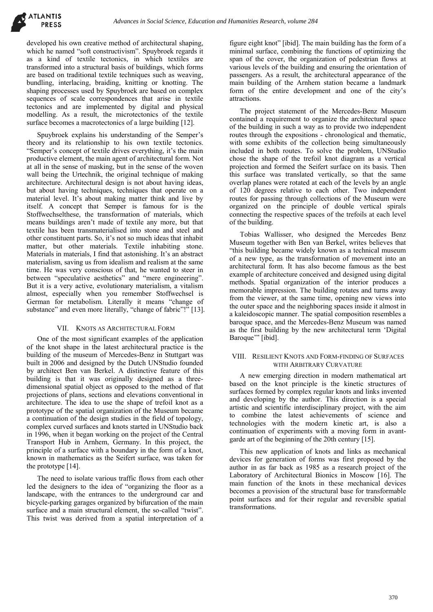developed his own creative method of architectural shaping, which he named "soft constructivism". Spuybroek regards it as a kind of textile tectonics, in which textiles are transformed into a structural basis of buildings, which forms are based on traditional textile techniques such as weaving, bundling, interlacing, braiding, knitting or knotting. The shaping processes used by Spuybroek are based on complex sequences of scale correspondences that arise in textile tectonics and are implemented by digital and physical modelling. As a result, the microtectonics of the textile surface becomes a macrotectonics of a large building [12].

Spuybroek explains his understanding of the Semper's theory and its relationship to his own textile tectonics. "Semper's concept of textile drives everything, it's the main productive element, the main agent of architectural form. Not at all in the sense of masking, but in the sense of the woven wall being the Urtechnik, the original technique of making architecture. Architectural design is not about having ideas, but about having techniques, techniques that operate on a material level. It's about making matter think and live by itself. A concept that Semper is famous for is the Stoffwechselthese, the transformation of materials, which means buildings aren't made of textile any more, but that textile has been transmaterialised into stone and steel and other constituent parts. So, it's not so much ideas that inhabit matter, but other materials. Textile inhabiting stone. Materials in materials, I find that astonishing. It's an abstract materialism, saving us from idealism and realism at the same time. He was very conscious of that, he wanted to steer in between "speculative aesthetics" and "mere engineering". But it is a very active, evolutionary materialism, a vitalism almost, especially when you remember Stoffwechsel is German for metabolism. Literally it means "change of substance" and even more literally, "change of fabric"!" [13].

## VII. KNOTS AS ARCHITECTURAL FORM

One of the most significant examples of the application of the knot shape in the latest architectural practice is the building of the museum of Mercedes-Benz in Stuttgart was built in 2006 and designed by the Dutch UNStudio founded by architect Ben van Berkel. A distinctive feature of this building is that it was originally designed as a threedimensional spatial object as opposed to the method of flat projections of plans, sections and elevations conventional in architecture. The idea to use the shape of trefoil knot as a prototype of the spatial organization of the Museum became a continuation of the design studies in the field of topology, complex curved surfaces and knots started in UNStudio back in 1996, when it began working on the project of the Central Transport Hub in Arnhem, Germany. In this project, the principle of a surface with a boundary in the form of a knot, known in mathematics as the Seifert surface, was taken for the prototype [14].

The need to isolate various traffic flows from each other led the designers to the idea of "organizing the floor as a landscape, with the entrances to the underground car and bicycle-parking garages organized by bifurcation of the main surface and a main structural element, the so-called "twist". This twist was derived from a spatial interpretation of a

figure eight knot" [ibid]. The main building has the form of a minimal surface, combining the functions of optimizing the span of the cover, the organization of pedestrian flows at various levels of the building and ensuring the orientation of passengers. As a result, the architectural appearance of the main building of the Arnhem station became a landmark form of the entire development and one of the city's attractions.

The project statement of the Mercedes-Benz Museum contained a requirement to organize the architectural space of the building in such a way as to provide two independent routes through the expositions - chronological and thematic, with some exhibits of the collection being simultaneously included in both routes. To solve the problem, UNStudio chose the shape of the trefoil knot diagram as a vertical projection and formed the Seifert surface on its basis. Then this surface was translated vertically, so that the same overlap planes were rotated at each of the levels by an angle of 120 degrees relative to each other. Two independent routes for passing through collections of the Museum were organized on the principle of double vertical spirals connecting the respective spaces of the trefoils at each level of the building.

Tobias Wallisser, who designed the Mercedes Benz Museum together with Ben van Berkel, writes believes that "this building became widely known as a technical museum of a new type, as the transformation of movement into an architectural form. It has also become famous as the best example of architecture conceived and designed using digital methods. Spatial organization of the interior produces a memorable impression. The building rotates and turns away from the viewer, at the same time, opening new views into the outer space and the neighboring spaces inside it almost in a kaleidoscopic manner. The spatial composition resembles a baroque space, and the Mercedes-Benz Museum was named as the first building by the new architectural term 'Digital Baroque" [ibid].

## VIII. RESILIENT KNOTS AND FORM-FINDING OF SURFACES WITH ARBITRARY CURVATURE

A new emerging direction in modern mathematical art based on the knot principle is the kinetic structures of surfaces formed by complex regular knots and links invented and developing by the author. This direction is a special artistic and scientific interdisciplinary project, with the aim to combine the latest achievements of science and technologies with the modern kinetic art, is also a continuation of experiments with a moving form in avantgarde art of the beginning of the 20th century [15].

This new application of knots and links as mechanical devices for generation of forms was first proposed by the author in as far back as 1985 as a research project of the Laboratory of Architectural Bionics in Moscow [16]. The main function of the knots in these mechanical devices becomes a provision of the structural base for transformable point surfaces and for their regular and reversible spatial transformations.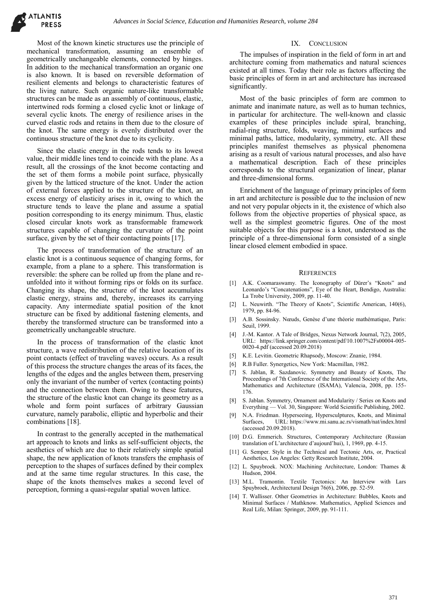Most of the known kinetic structures use the principle of mechanical transformation, assuming an ensemble of geometrically unchangeable elements, connected by hinges. In addition to the mechanical transformation an organic one is also known. It is based on reversible deformation of resilient elements and belongs to characteristic features of the living nature. Such organic nature-like transformable structures can be made as an assembly of continuous, elastic, intertwined rods forming a closed cyclic knot or linkage of several cyclic knots. The energy of resilience arises in the curved elastic rods and retains in them due to the closure of the knot. The same energy is evenly distributed over the continuous structure of the knot due to its cyclicity.

Since the elastic energy in the rods tends to its lowest value, their middle lines tend to coincide with the plane. As a result, all the crossings of the knot become contacting and the set of them forms a mobile point surface, physically given by the latticed structure of the knot. Under the action of external forces applied to the structure of the knot, an excess energy of elasticity arises in it, owing to which the structure tends to leave the plane and assume a spatial position corresponding to its energy minimum. Thus, elastic closed circular knots work as transformable framework structures capable of changing the curvature of the point surface, given by the set of their contacting points [17].

The process of transformation of the structure of an elastic knot is a continuous sequence of changing forms, for example, from a plane to a sphere. This transformation is reversible: the sphere can be rolled up from the plane and reunfolded into it without forming rips or folds on its surface. Changing its shape, the structure of the knot accumulates elastic energy, strains and, thereby, increases its carrying capacity. Any intermediate spatial position of the knot structure can be fixed by additional fastening elements, and thereby the transformed structure can be transformed into a geometrically unchangeable structure.

In the process of transformation of the elastic knot structure, a wave redistribution of the relative location of its point contacts (effect of traveling waves) occurs. As a result of this process the structure changes the areas of its faces, the lengths of the edges and the angles between them, preserving only the invariant of the number of vertex (contacting points) and the connection between them. Owing to these features, the structure of the elastic knot can change its geometry as a whole and form point surfaces of arbitrary Gaussian curvature, namely parabolic, elliptic and hyperbolic and their combinations [18].

In contrast to the generally accepted in the mathematical art approach to knots and links as self-sufficient objects, the aesthetics of which are due to their relatively simple spatial shape, the new application of knots transfers the emphasis of perception to the shapes of surfaces defined by their complex and at the same time regular structures. In this case, the shape of the knots themselves makes a second level of perception, forming a quasi-regular spatial woven lattice.

# IX. CONCLUSION

The impulses of inspiration in the field of form in art and architecture coming from mathematics and natural sciences existed at all times. Today their role as factors affecting the basic principles of form in art and architecture has increased significantly.

Most of the basic principles of form are common to animate and inanimate nature, as well as to human technics, in particular for architecture. The well-known and classic examples of these principles include spiral, branching, radial-ring structure, folds, weaving, minimal surfaces and minimal paths, lattice, modularity, symmetry, etc. All these principles manifest themselves as physical phenomena arising as a result of various natural processes, and also have a mathematical description. Each of these principles corresponds to the structural organization of linear, planar and three-dimensional forms.

Enrichment of the language of primary principles of form in art and architecture is possible due to the inclusion of new and not very popular objects in it, the existence of which also follows from the objective properties of physical space, as well as the simplest geometric figures. One of the most suitable objects for this purpose is a knot, understood as the principle of a three-dimensional form consisted of a single linear closed element embodied in space.

#### **REFERENCES**

- [1] A.K. Coomaraswamy. The Iconography of Dürer's "Knots" and Leonardo's "Concatenations", Eye of the Heart, Bendigo, Australia: La Trobe University, 2009, pp. 11-40.
- [2] L. Neuwirth. "The Theory of Knots", Scientific American, 140(6), 1979, pp. 84-96.
- [3] A.B. Sossinsky. Nœuds, Genèse d'une théorie mathématique, Paris: Seuil, 1999.
- [4] J.-M. Kantor. A Tale of Bridges, Nexus Network Journal, 7(2), 2005, URL: https://link.springer.com/content/pdf/10.1007%2Fs00004-005- 0020-4.pdf (accessed 20.09.2018)
- [5] K.E. Levitin. Geometric Rhapsody, Moscow: Znanie, 1984.
- [6] R.B Fuller. Synergetics, New York: Macmillan, 1982.
- [7] S. Jablan, R. Sazdanovic. Symmetry and Beauty of Knots, The Proceedings of 7th Conference of the International Society of the Arts, Mathematics and Architecture (ISAMA), Valencia, 2008, pp. 155- 176.
- [8] S. Jablan. Symmetry, Ornament and Modularity / Series on Knots and Everything — Vol. 30, Singapore: World Scientific Publishing, 2002.
- [9] N.A. Friedman. Hyperseeing, Hypersculptures, Knots, and Minimal Surfaces, URL: https://www.mi.sanu.ac.rs/vismath/nat/index.html (accessed 20.09.2018).
- [10] D.G. Emmerich. Structures, Contemporary Architecture (Russian translation of L'architecture d'aujourd'hui), 1, 1969, pp. 4-15.
- [11] G. Semper. Style in the Technical and Tectonic Arts, or, Practical Aesthetics, Los Angeles: Getty Research Institute, 2004.
- [12] L. Spuybroek. NOX: Machining Architecture, London: Thames & Hudson, 2004.
- [13] M.L. Tramontin. Textile Tectonics: An Interview with Lars Spuybroek, Architectural Design 76(6), 2006, pp. 52-59.
- [14] T. Wallisser. Other Geometries in Architecture: Bubbles, Knots and Minimal Surfaces / Mathknow. Mathematics, Applied Sciences and Real Life, Milan: Springer, 2009, pp. 91-111.